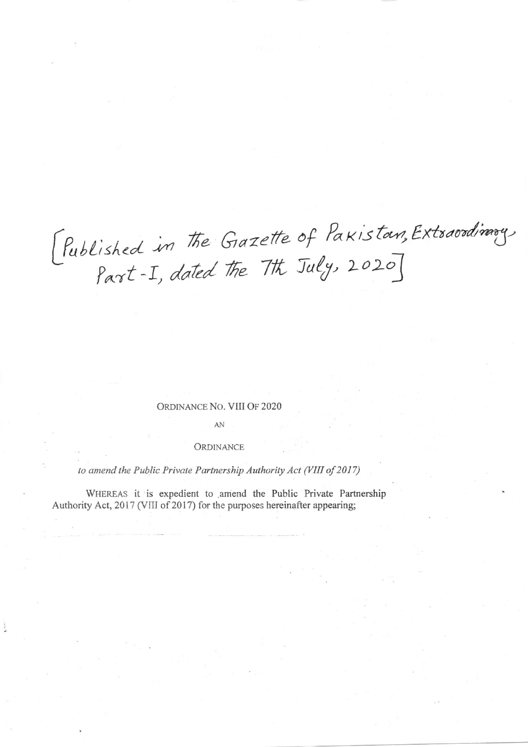[Published in the Grazette of Pakistan, Extraordinary,

## ORDINANCE NO. VIII OF 2020

AN

## ORDINANCE

to amend the Public Private Partnership Authority Act (VIII of 2017)

WHEREAS it is expedient to amend the Public Private Partnership Authority Act, 2017 (VIII of 2017) for the purposes hereinafter appearing;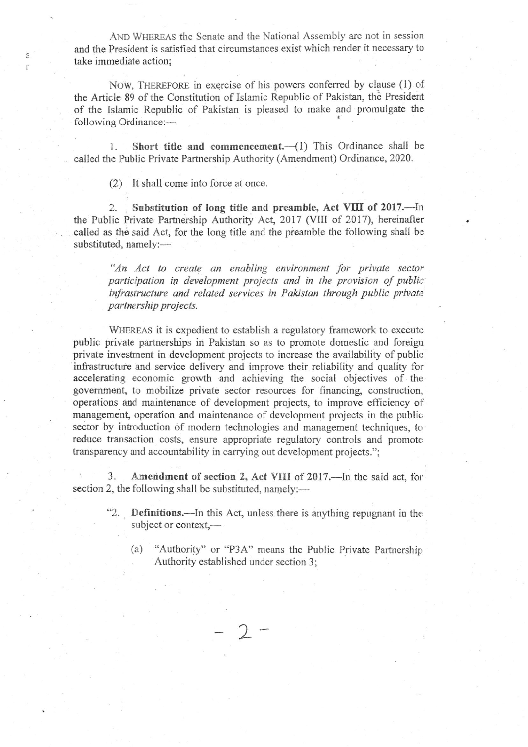AND WHEREAS the Senate and the National Assembly are not in session and the President is satisfied that circumstances exist which render it necessary to take immediate action;

NOW, THEREFORE in exercise of his powers conferred by clause (1) of the Article 89 of the Constitution of Islamic Republic of Pakistan, the President of the Islamic Republic of Pakistan is pleased to make and prornulgate the following Ordinance:-

1. Short title and commencement. $({}1)$  This Ordinance shall be called the Public Private Partnership Authority (Amendment) Ordinance, 2020.

(2) It shall come into force at once.

S I

> 2. Substitution of long title and preamble, Act VIII of 2017.--- In the Public Private Partnership Authority Act, 2017 (VIII of 2017), hereinafter called as the said Act, for the long title and the preamble the following shall be substituted, namely:-

"An Act to create an enabling environment for private sector participation in development projects and in the provision of public infrastructure and related services in Pakistan through public private partnership projects.

WHEREAS it is expedient to establish a regulatory framework to execute public private partnerships in Pakistan so as to promote domestic and foreigr private investment in development projects to increase the availability of public infiastructure and service delivery and improve their retiability and quality for accelerating economic growth and achieving the social objectives of the govemment, to mobilize private sector resources for financing, construction, operations and maintenance of development projects, to improve efficiency of management, operation and maintenance of development projects in the public sector by introduction of modern technologies and management techniques, to reduce transaction costs, ensure appropriate regulatory controls and promote transparency and accountability in carrying out development projects.";

3. Amendment of section 2, Act VIII of 2017.—In the said act, for section 2, the following shall be substituted, namely:—

> $\bigcap$  $\overline{\phantom{a}}$

- Definitions.—In this Act, unless there is anything repugnant in the subject or context,-
	- (a) "Authority" or "P3A" means the Public Private Partnership Authority established under section 3;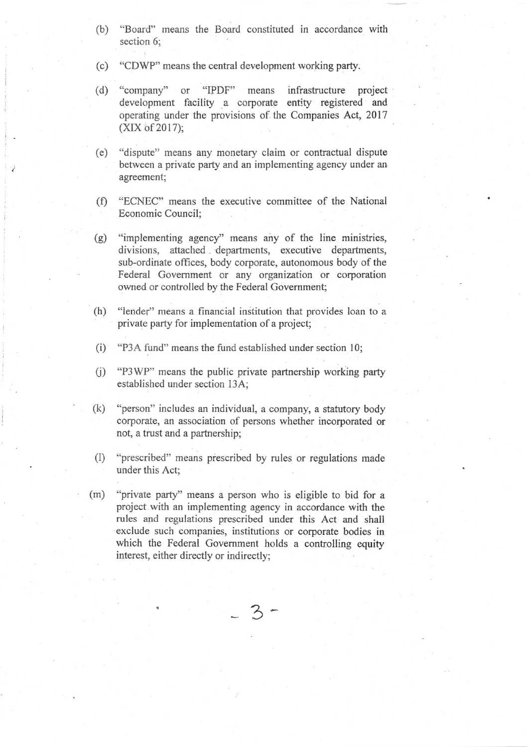- (b) "Board" means the Board constituted in accordance with section 6;
- (c) "CDWP" means the central development working party.
- (d) "company" or "IPDF" means infrastructure project development facility a corporate entity registered and operating under the provisions of the Companies Act, 2017  $(XIX of 2017);$
- (e) "dispute" means any monetary claim or contractual dispute between a private party and an implementing agency under an agreement;
- (f) "ECNEC" means the executive committee of the National Economic Council;
- (g) "implementing agency" means any of the line ministries, divisions, attached departments, executive departments, sub-ordinate offices, body corporate, autonomous body of the Federal Government or any organization or corporation owned or controlled by the Federal Government;
- (h) "lender" means a financial institution that provides loan to <sup>a</sup> private party for implementation of a project;
- $(i)$ "P3A fund" means the fund established under section 10;
- $(i)$ "P3WP" means the public private partnership working party established under section 13A'
- (k) "person" includes an individual, a company, a statutory body corporate, an association of persons whether incorporated or not, a trust and a partnership;
- 0) "prescribed" means prescribed by rules or regulations made under this Act;
- (m) "private party" means a person who is eligible to bid for a project with an implementing agency in accordance with the rules and regulations prescribed under this Act and shall exclude such companies, institutions or corporate bodies in which the Federal Govemment holds a controlling equity interest, either directly or indirectly;

$$
-3-
$$